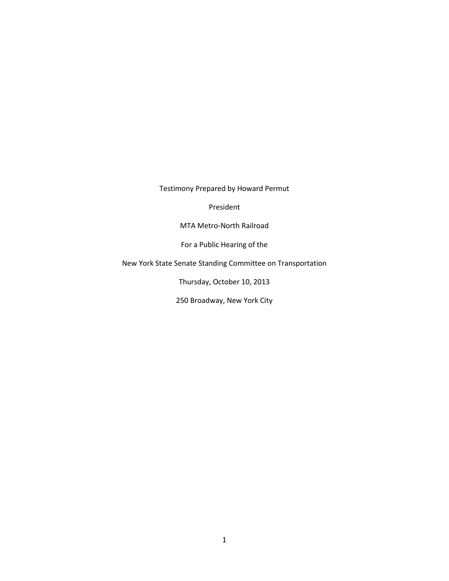Testimony Prepared by Howard Permut

President

MTA Metro-North Railroad

For a Public Hearing of the

New York State Senate Standing Committee on Transportation

Thursday, October 10, 2013

250 Broadway, New York City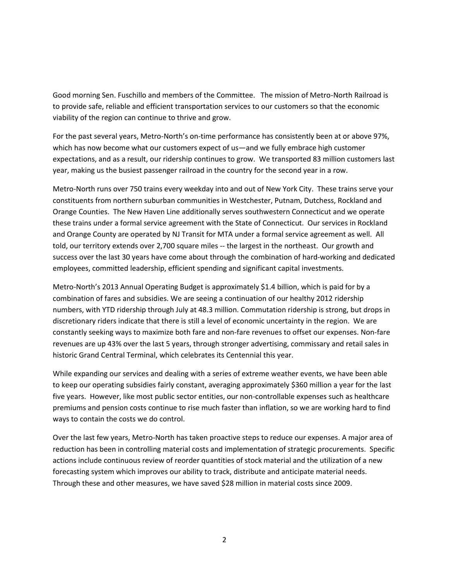Good morning Sen. Fuschillo and members of the Committee. The mission of Metro-North Railroad is to provide safe, reliable and efficient transportation services to our customers so that the economic viability of the region can continue to thrive and grow.

For the past several years, Metro-North's on-time performance has consistently been at or above 97%, which has now become what our customers expect of us—and we fully embrace high customer expectations, and as a result, our ridership continues to grow. We transported 83 million customers last year, making us the busiest passenger railroad in the country for the second year in a row.

Metro-North runs over 750 trains every weekday into and out of New York City. These trains serve your constituents from northern suburban communities in Westchester, Putnam, Dutchess, Rockland and Orange Counties. The New Haven Line additionally serves southwestern Connecticut and we operate these trains under a formal service agreement with the State of Connecticut. Our services in Rockland and Orange County are operated by NJ Transit for MTA under a formal service agreement as well. All told, our territory extends over 2,700 square miles -- the largest in the northeast. Our growth and success over the last 30 years have come about through the combination of hard-working and dedicated employees, committed leadership, efficient spending and significant capital investments.

Metro-North's 2013 Annual Operating Budget is approximately \$1.4 billion, which is paid for by a combination of fares and subsidies. We are seeing a continuation of our healthy 2012 ridership numbers, with YTD ridership through July at 48.3 million. Commutation ridership is strong, but drops in discretionary riders indicate that there is still a level of economic uncertainty in the region. We are constantly seeking ways to maximize both fare and non-fare revenues to offset our expenses. Non-fare revenues are up 43% over the last 5 years, through stronger advertising, commissary and retail sales in historic Grand Central Terminal, which celebrates its Centennial this year.

While expanding our services and dealing with a series of extreme weather events, we have been able to keep our operating subsidies fairly constant, averaging approximately \$360 million a year for the last five years. However, like most public sector entities, our non-controllable expenses such as healthcare premiums and pension costs continue to rise much faster than inflation, so we are working hard to find ways to contain the costs we do control.

Over the last few years, Metro-North has taken proactive steps to reduce our expenses. A major area of reduction has been in controlling material costs and implementation of strategic procurements. Specific actions include continuous review of reorder quantities of stock material and the utilization of a new forecasting system which improves our ability to track, distribute and anticipate material needs. Through these and other measures, we have saved \$28 million in material costs since 2009.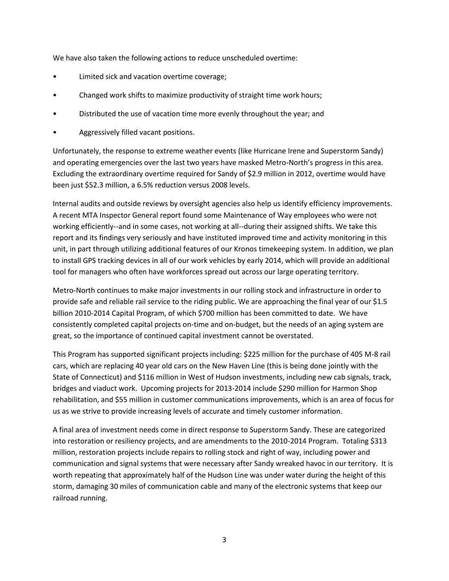We have also taken the following actions to reduce unscheduled overtime:

- Limited sick and vacation overtime coverage;
- Changed work shifts to maximize productivity of straight time work hours;
- Distributed the use of vacation time more evenly throughout the year; and
- Aggressively filled vacant positions.

Unfortunately, the response to extreme weather events (like Hurricane Irene and Superstorm Sandy) and operating emergencies over the last two years have masked Metro-North's progress in this area. Excluding the extraordinary overtime required for Sandy of \$2.9 million in 2012, overtime would have been just \$52.3 million, a 6.5% reduction versus 2008 levels.

Internal audits and outside reviews by oversight agencies also help us identify efficiency improvements. A recent MTA Inspector General report found some Maintenance of Way employees who were not working efficiently--and in some cases, not working at all--during their assigned shifts. We take this report and its findings very seriously and have instituted improved time and activity monitoring in this unit, in part through utilizing additional features of our Kronos timekeeping system. In addition, we plan to install GPS tracking devices in all of our work vehicles by early 2014, which will provide an additional tool for managers who often have workforces spread out across our large operating territory.

Metro-North continues to make major investments in our rolling stock and infrastructure in order to provide safe and reliable rail service to the riding public. We are approaching the final year of our \$1.5 billion 2010-2014 Capital Program, of which \$700 million has been committed to date. We have consistently completed capital projects on-time and on-budget, but the needs of an aging system are great, so the importance of continued capital investment cannot be overstated.

This Program has supported significant projects including: \$225 million for the purchase of 405 M-8 rail cars, which are replacing 40 year old cars on the New Haven Line (this is being done jointly with the State of Connecticut) and \$116 million in West of Hudson investments, including new cab signals, track, bridges and viaduct work. Upcoming projects for 2013-2014 include \$290 million for Harmon Shop rehabilitation, and \$55 million in customer communications improvements, which is an area of focus for us as we strive to provide increasing levels of accurate and timely customer information.

A final area of investment needs come in direct response to Superstorm Sandy. These are categorized into restoration or resiliency projects, and are amendments to the 2010-2014 Program. Totaling \$313 million, restoration projects include repairs to rolling stock and right of way, including power and communication and signal systems that were necessary after Sandy wreaked havoc in our territory. It is worth repeating that approximately half of the Hudson Line was under water during the height of this storm, damaging 30 miles of communication cable and many of the electronic systems that keep our railroad running.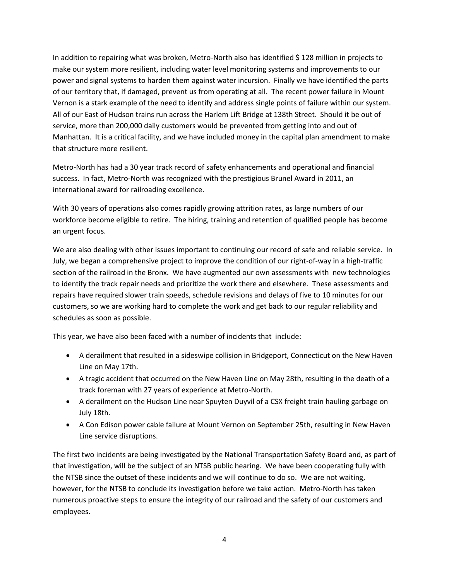In addition to repairing what was broken, Metro-North also has identified \$ 128 million in projects to make our system more resilient, including water level monitoring systems and improvements to our power and signal systems to harden them against water incursion. Finally we have identified the parts of our territory that, if damaged, prevent us from operating at all. The recent power failure in Mount Vernon is a stark example of the need to identify and address single points of failure within our system. All of our East of Hudson trains run across the Harlem Lift Bridge at 138th Street. Should it be out of service, more than 200,000 daily customers would be prevented from getting into and out of Manhattan. It is a critical facility, and we have included money in the capital plan amendment to make that structure more resilient.

Metro-North has had a 30 year track record of safety enhancements and operational and financial success. In fact, Metro-North was recognized with the prestigious Brunel Award in 2011, an international award for railroading excellence.

With 30 years of operations also comes rapidly growing attrition rates, as large numbers of our workforce become eligible to retire. The hiring, training and retention of qualified people has become an urgent focus.

We are also dealing with other issues important to continuing our record of safe and reliable service. In July, we began a comprehensive project to improve the condition of our right-of-way in a high-traffic section of the railroad in the Bronx. We have augmented our own assessments with new technologies to identify the track repair needs and prioritize the work there and elsewhere. These assessments and repairs have required slower train speeds, schedule revisions and delays of five to 10 minutes for our customers, so we are working hard to complete the work and get back to our regular reliability and schedules as soon as possible.

This year, we have also been faced with a number of incidents that include:

- A derailment that resulted in a sideswipe collision in Bridgeport, Connecticut on the New Haven Line on May 17th.
- A tragic accident that occurred on the New Haven Line on May 28th, resulting in the death of a track foreman with 27 years of experience at Metro-North.
- A derailment on the Hudson Line near Spuyten Duyvil of a CSX freight train hauling garbage on July 18th.
- A Con Edison power cable failure at Mount Vernon on September 25th, resulting in New Haven Line service disruptions.

The first two incidents are being investigated by the National Transportation Safety Board and, as part of that investigation, will be the subject of an NTSB public hearing. We have been cooperating fully with the NTSB since the outset of these incidents and we will continue to do so. We are not waiting, however, for the NTSB to conclude its investigation before we take action. Metro-North has taken numerous proactive steps to ensure the integrity of our railroad and the safety of our customers and employees.